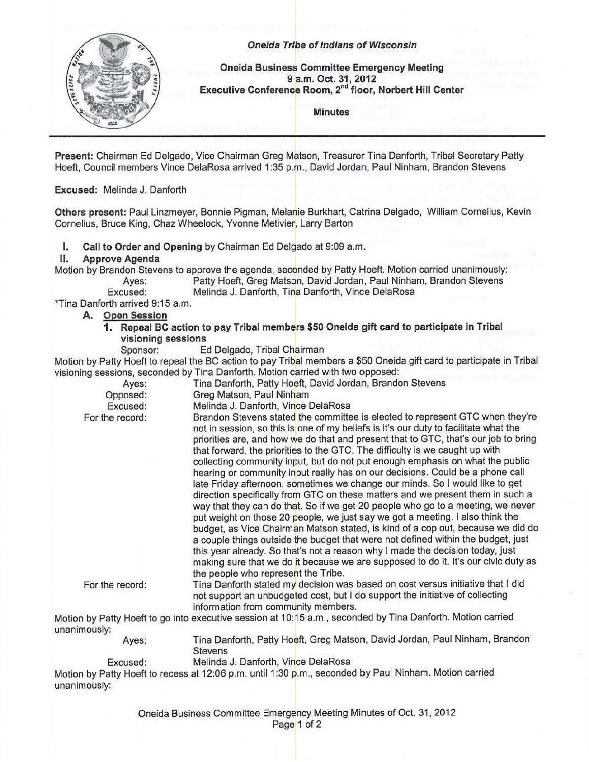

## Oneida Tribe of Indians of Wisconsin

Oneida Business Committee Emergency Meeting 9 a.m. Oct. 31, 2012 Executive Conference Room, 2<sup>nd</sup> floor, Norbert Hill Center

Minutes

Present: Chairman Ed Delgado, Vice Chairman Greg Matson, Treasurer Tina Danforth, Tribal Secretary Patty Hoeft, Council members Vince DelaRosa arrived 1:35 p.m., David Jordan, Paul Ninham, Brandon Stevens

Excused: Melinda J. Danforth

Others present: Paul Linzmeyer, Bonnie Pigman, Melanie Burkhart, Catrina Delgado, William Cornelius, Kevin Cornelius, Bruce King, Chaz Wheelock, Yvonne Metivier, Larry Barton

I. Call to Order and Opening by Chairman Ed Delgado at 9:09 a.m.

## II. Approve Agenda

Motion by Brandon Stevens to approve the agenda, seconded by Patty Hoeft. Motion carried unanimously: Ayes: Patty Hoeft, Greg Matson, David Jordan, Paul Ninham, Brandon Stevens

Excused: Melinda J. Danforth, Tina Danforth, Vince DelaRosa

\*Tina Danforth arrived 9:15a.m.

## A. Open Session

- 1. Repeal BC action to pay Tribal members \$50 Oneida gift card to participate in Tribal visioning sessions
	- Sponsor: Ed Delgado, Tribal Chairman

Motion by Patty Hoeft to repeal the BC action to pay Tribal members a \$50 Oneida gift card to participate in Tribal visioning sessions, seconded by Tina Danforth. Motion carried with two opposed:

| Ayes:           | Tina Danforth, Patty Hoeft, David Jordan, Brandon Stevens                                                                                                                                                                                                                                                                                                                                                                                                                                                                                                                                                                                                                                                                                                                                                                                                                                                                                                                                                                                                                                                                                                                                                                                 |
|-----------------|-------------------------------------------------------------------------------------------------------------------------------------------------------------------------------------------------------------------------------------------------------------------------------------------------------------------------------------------------------------------------------------------------------------------------------------------------------------------------------------------------------------------------------------------------------------------------------------------------------------------------------------------------------------------------------------------------------------------------------------------------------------------------------------------------------------------------------------------------------------------------------------------------------------------------------------------------------------------------------------------------------------------------------------------------------------------------------------------------------------------------------------------------------------------------------------------------------------------------------------------|
| Opposed:        | Greg Matson, Paul Ninham                                                                                                                                                                                                                                                                                                                                                                                                                                                                                                                                                                                                                                                                                                                                                                                                                                                                                                                                                                                                                                                                                                                                                                                                                  |
| Excused:        | Melinda J. Danforth, Vince DelaRosa                                                                                                                                                                                                                                                                                                                                                                                                                                                                                                                                                                                                                                                                                                                                                                                                                                                                                                                                                                                                                                                                                                                                                                                                       |
| For the record: | Brandon Stevens stated the committee is elected to represent GTC when they're<br>not in session, so this is one of my beliefs is it's our duty to facilitate what the<br>priorities are, and how we do that and present that to GTC, that's our job to bring<br>that forward, the priorities to the GTC. The difficulty is we caught up with<br>collecting community input, but do not put enough emphasis on what the public<br>hearing or community input really has on our decisions. Could be a phone call<br>late Friday afternoon, sometimes we change our minds. So I would like to get<br>direction specifically from GTC on these matters and we present them in such a<br>way that they can do that. So if we get 20 people who go to a meeting, we never<br>put weight on those 20 people, we just say we got a meeting. I also think the<br>budget, as Vice Chairman Matson stated, is kind of a cop out, because we did do<br>a couple things outside the budget that were not defined within the budget, just<br>this year already. So that's not a reason why I made the decision today, just<br>making sure that we do it because we are supposed to do it. It's our civic duty as<br>the people who represent the Tribe. |
| For the record: | Tina Danforth stated my decision was based on cost versus initiative that I did<br>not support an unbudgeted cost, but I do support the initiative of collecting<br>information from community members.                                                                                                                                                                                                                                                                                                                                                                                                                                                                                                                                                                                                                                                                                                                                                                                                                                                                                                                                                                                                                                   |
| unanimously:    | Motion by Patty Hoeft to go into executive session at 10:15 a.m., seconded by Tina Danforth. Motion carried                                                                                                                                                                                                                                                                                                                                                                                                                                                                                                                                                                                                                                                                                                                                                                                                                                                                                                                                                                                                                                                                                                                               |
| Ayes:           | Tina Danforth, Patty Hoeft, Greg Matson, David Jordan, Paul Ninham, Brandon<br><b>Stevens</b>                                                                                                                                                                                                                                                                                                                                                                                                                                                                                                                                                                                                                                                                                                                                                                                                                                                                                                                                                                                                                                                                                                                                             |
| Excused:        | Melinda J. Danforth, Vince DelaRosa                                                                                                                                                                                                                                                                                                                                                                                                                                                                                                                                                                                                                                                                                                                                                                                                                                                                                                                                                                                                                                                                                                                                                                                                       |
|                 | Motion by Patty Hoeft to recess at 12:06 p.m. until 1:30 p.m., seconded by Paul Ninham. Motion carried                                                                                                                                                                                                                                                                                                                                                                                                                                                                                                                                                                                                                                                                                                                                                                                                                                                                                                                                                                                                                                                                                                                                    |
| unanimously:    |                                                                                                                                                                                                                                                                                                                                                                                                                                                                                                                                                                                                                                                                                                                                                                                                                                                                                                                                                                                                                                                                                                                                                                                                                                           |

Oneida Business Committee Emergency Meeting Minutes of Oct. 31, 2012

## Page 1 of 2